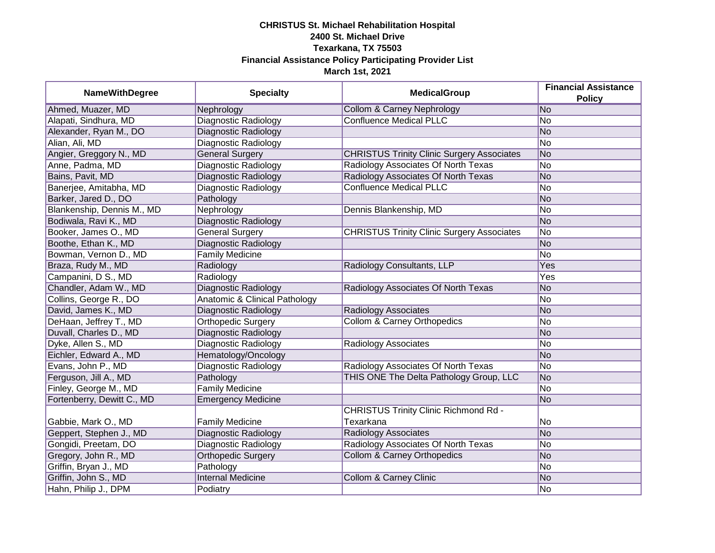## **CHRISTUS St. Michael Rehabilitation Hospital 2400 St. Michael Drive Texarkana, TX 75503 Financial Assistance Policy Participating Provider List March 1st, 2021**

| <b>NameWithDegree</b>      | <b>Specialty</b>              | <b>MedicalGroup</b>                               | <b>Financial Assistance</b><br><b>Policy</b> |
|----------------------------|-------------------------------|---------------------------------------------------|----------------------------------------------|
| Ahmed, Muazer, MD          | Nephrology                    | <b>Collom &amp; Carney Nephrology</b>             | No                                           |
| Alapati, Sindhura, MD      | <b>Diagnostic Radiology</b>   | <b>Confluence Medical PLLC</b>                    | No                                           |
| Alexander, Ryan M., DO     | Diagnostic Radiology          |                                                   | No                                           |
| Alian, Ali, MD             | <b>Diagnostic Radiology</b>   |                                                   | No                                           |
| Angier, Greggory N., MD    | <b>General Surgery</b>        | <b>CHRISTUS Trinity Clinic Surgery Associates</b> | No                                           |
| Anne, Padma, MD            | Diagnostic Radiology          | Radiology Associates Of North Texas               | No                                           |
| Bains, Pavit, MD           | Diagnostic Radiology          | Radiology Associates Of North Texas               | No                                           |
| Banerjee, Amitabha, MD     | <b>Diagnostic Radiology</b>   | <b>Confluence Medical PLLC</b>                    | No                                           |
| Barker, Jared D., DO       | Pathology                     |                                                   | No                                           |
| Blankenship, Dennis M., MD | Nephrology                    | Dennis Blankenship, MD                            | No                                           |
| Bodiwala, Ravi K., MD      | Diagnostic Radiology          |                                                   | No                                           |
| Booker, James O., MD       | <b>General Surgery</b>        | <b>CHRISTUS Trinity Clinic Surgery Associates</b> | No                                           |
| Boothe, Ethan K., MD       | Diagnostic Radiology          |                                                   | No                                           |
| Bowman, Vernon D., MD      | <b>Family Medicine</b>        |                                                   | No                                           |
| Braza, Rudy M., MD         | Radiology                     | Radiology Consultants, LLP                        | Yes                                          |
| Campanini, D S., MD        | Radiology                     |                                                   | Yes                                          |
| Chandler, Adam W., MD      | Diagnostic Radiology          | Radiology Associates Of North Texas               | No                                           |
| Collins, George R., DO     | Anatomic & Clinical Pathology |                                                   | No                                           |
| David, James K., MD        | Diagnostic Radiology          | Radiology Associates                              | No                                           |
| DeHaan, Jeffrey T., MD     | <b>Orthopedic Surgery</b>     | <b>Collom &amp; Carney Orthopedics</b>            | No                                           |
| Duvall, Charles D., MD     | Diagnostic Radiology          |                                                   | No                                           |
| Dyke, Allen S., MD         | Diagnostic Radiology          | Radiology Associates                              | No                                           |
| Eichler, Edward A., MD     | Hematology/Oncology           |                                                   | No                                           |
| Evans, John P., MD         | Diagnostic Radiology          | Radiology Associates Of North Texas               | No                                           |
| Ferguson, Jill A., MD      | Pathology                     | THIS ONE The Delta Pathology Group, LLC           | No                                           |
| Finley, George M., MD      | <b>Family Medicine</b>        |                                                   | No                                           |
| Fortenberry, Dewitt C., MD | <b>Emergency Medicine</b>     |                                                   | No                                           |
|                            |                               | <b>CHRISTUS Trinity Clinic Richmond Rd -</b>      |                                              |
| Gabbie, Mark O., MD        | <b>Family Medicine</b>        | Texarkana                                         | No                                           |
| Geppert, Stephen J., MD    | <b>Diagnostic Radiology</b>   | <b>Radiology Associates</b>                       | No                                           |
| Gongidi, Preetam, DO       | Diagnostic Radiology          | Radiology Associates Of North Texas               | No                                           |
| Gregory, John R., MD       | <b>Orthopedic Surgery</b>     | <b>Collom &amp; Carney Orthopedics</b>            | No                                           |
| Griffin, Bryan J., MD      | Pathology                     |                                                   | No                                           |
| Griffin, John S., MD       | <b>Internal Medicine</b>      | <b>Collom &amp; Carney Clinic</b>                 | No                                           |
| Hahn, Philip J., DPM       | Podiatry                      |                                                   | No                                           |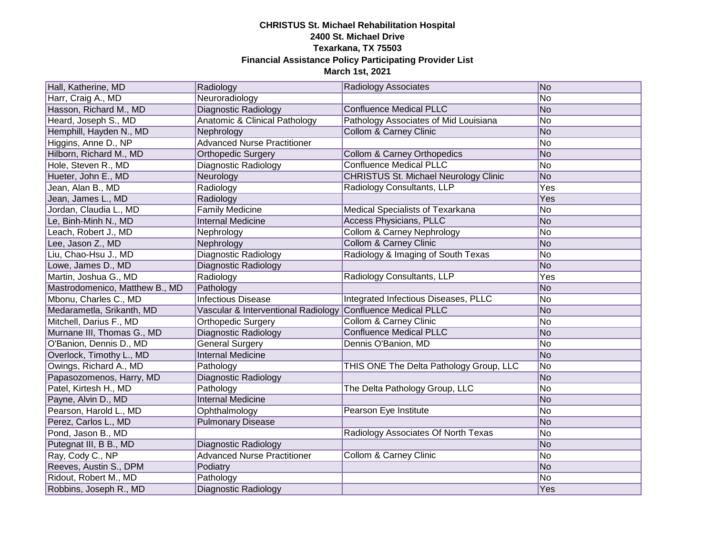## **CHRISTUS St. Michael Rehabilitation Hospital 2400 St. Michael Drive Texarkana, TX 75503 Financial Assistance Policy Participating Provider List March 1st, 2021**

| Hall, Katherine, MD            | Radiology                                | <b>Radiology Associates</b>                  | No  |
|--------------------------------|------------------------------------------|----------------------------------------------|-----|
| Harr, Craig A., MD             | Neuroradiology                           |                                              | No  |
| Hasson, Richard M., MD         | Diagnostic Radiology                     | <b>Confluence Medical PLLC</b>               | No  |
| Heard, Joseph S., MD           | <b>Anatomic &amp; Clinical Pathology</b> | Pathology Associates of Mid Louisiana        | No  |
| Hemphill, Hayden N., MD        | Nephrology                               | <b>Collom &amp; Carney Clinic</b>            | No  |
| Higgins, Anne D., NP           | <b>Advanced Nurse Practitioner</b>       |                                              | No  |
| Hilborn, Richard M., MD        | Orthopedic Surgery                       | Collom & Carney Orthopedics                  | No  |
| Hole, Steven R., MD            | Diagnostic Radiology                     | <b>Confluence Medical PLLC</b>               | No  |
| Hueter, John E., MD            | Neurology                                | <b>CHRISTUS St. Michael Neurology Clinic</b> | No  |
| Jean, Alan B., MD              | Radiology                                | Radiology Consultants, LLP                   | Yes |
| Jean, James L., MD             | Radiology                                |                                              | Yes |
| Jordan, Claudia L., MD         | <b>Family Medicine</b>                   | Medical Specialists of Texarkana             | No  |
| Le, Binh-Minh N., MD           | <b>Internal Medicine</b>                 | <b>Access Physicians, PLLC</b>               | No  |
| Leach, Robert J., MD           | Nephrology                               | Collom & Carney Nephrology                   | No  |
| Lee, Jason Z., MD              | Nephrology                               | <b>Collom &amp; Carney Clinic</b>            | No  |
| Liu, Chao-Hsu J., MD           | Diagnostic Radiology                     | Radiology & Imaging of South Texas           | No  |
| Lowe, James D., MD             | Diagnostic Radiology                     |                                              | No  |
| Martin, Joshua G., MD          | Radiology                                | Radiology Consultants, LLP                   | Yes |
| Mastrodomenico, Matthew B., MD | Pathology                                |                                              | No  |
| Mbonu, Charles C., MD          | <b>Infectious Disease</b>                | Integrated Infectious Diseases, PLLC         | No  |
| Medarametla, Srikanth, MD      | Vascular & Interventional Radiology      | <b>Confluence Medical PLLC</b>               | No  |
| Mitchell, Darius F., MD        | Orthopedic Surgery                       | <b>Collom &amp; Carney Clinic</b>            | No  |
| Murnane III, Thomas G., MD     | Diagnostic Radiology                     | <b>Confluence Medical PLLC</b>               | No  |
| O'Banion, Dennis D., MD        | <b>General Surgery</b>                   | Dennis O'Banion, MD                          | No  |
| Overlock, Timothy L., MD       | <b>Internal Medicine</b>                 |                                              | No  |
| Owings, Richard A., MD         | Pathology                                | THIS ONE The Delta Pathology Group, LLC      | No  |
| Papasozomenos, Harry, MD       | Diagnostic Radiology                     |                                              | No  |
| Patel, Kirtesh H., MD          | Pathology                                | The Delta Pathology Group, LLC               | No  |
| Payne, Alvin D., MD            | <b>Internal Medicine</b>                 |                                              | No  |
| Pearson, Harold L., MD         | Ophthalmology                            | Pearson Eye Institute                        | No  |
| Perez, Carlos L., MD           | <b>Pulmonary Disease</b>                 |                                              | No  |
| Pond, Jason B., MD             |                                          | Radiology Associates Of North Texas          | No  |
| Putegnat III, B B., MD         | Diagnostic Radiology                     |                                              | No  |
| Ray, Cody C., NP               | <b>Advanced Nurse Practitioner</b>       | <b>Collom &amp; Carney Clinic</b>            | No  |
| Reeves, Austin S., DPM         | Podiatry                                 |                                              | No  |
| Ridout, Robert M., MD          | Pathology                                |                                              | No  |
| Robbins, Joseph R., MD         | Diagnostic Radiology                     |                                              | Yes |